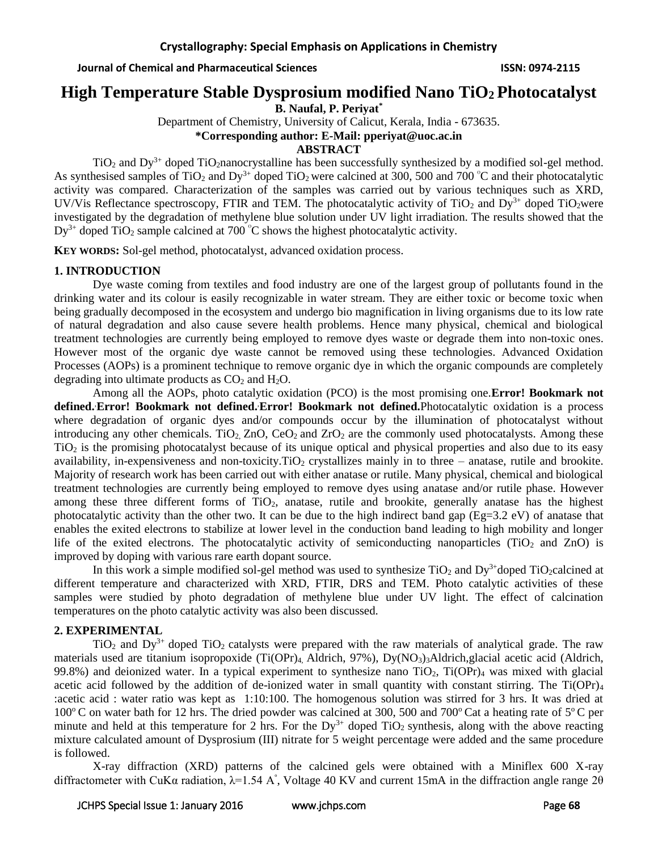# **High Temperature Stable Dysprosium modified Nano TiO2 Photocatalyst**

**B. Naufal, P. Periyat\***

Department of Chemistry, University of Calicut, Kerala, India - 673635.

**\*Corresponding author: E-Mail: pperiyat@uoc.ac.in**

### **ABSTRACT**

 $TiO<sub>2</sub>$  and  $Dy<sup>3+</sup>$  doped TiO<sub>2</sub>nanocrystalline has been successfully synthesized by a modified sol-gel method. As synthesised samples of TiO<sub>2</sub> and Dy<sup>3+</sup> doped TiO<sub>2</sub> were calcined at 300, 500 and 700  $^{\circ}$ C and their photocatalytic activity was compared. Characterization of the samples was carried out by various techniques such as XRD, UV/Vis Reflectance spectroscopy, FTIR and TEM. The photocatalytic activity of TiO<sub>2</sub> and Dy<sup>3+</sup> doped TiO<sub>2</sub>were investigated by the degradation of methylene blue solution under UV light irradiation. The results showed that the  $Dy^{3+}$  doped TiO<sub>2</sub> sample calcined at 700  $^{\circ}$ C shows the highest photocatalytic activity.

**KEY WORDS:** Sol-gel method, photocatalyst, advanced oxidation process.

### **1. INTRODUCTION**

Dye waste coming from textiles and food industry are one of the largest group of pollutants found in the drinking water and its colour is easily recognizable in water stream. They are either toxic or become toxic when being gradually decomposed in the ecosystem and undergo bio magnification in living organisms due to its low rate of natural degradation and also cause severe health problems. Hence many physical, chemical and biological treatment technologies are currently being employed to remove dyes waste or degrade them into non-toxic ones. However most of the organic dye waste cannot be removed using these technologies. Advanced Oxidation Processes (AOPs) is a prominent technique to remove organic dye in which the organic compounds are completely degrading into ultimate products as  $CO<sub>2</sub>$  and  $H<sub>2</sub>O$ .

Among all the AOPs, photo catalytic oxidation (PCO) is the most promising one.**Error! Bookmark not defined.**,**Error! Bookmark not defined.**,**Error! Bookmark not defined.**Photocatalytic oxidation is a process where degradation of organic dyes and/or compounds occur by the illumination of photocatalyst without introducing any other chemicals. TiO<sub>2</sub>, ZnO, CeO<sub>2</sub> and ZrO<sub>2</sub> are the commonly used photocatalysts. Among these TiO<sup>2</sup> is the promising photocatalyst because of its unique optical and physical properties and also due to its easy availability, in-expensiveness and non-toxicity. TiO<sub>2</sub> crystallizes mainly in to three – anatase, rutile and brookite. Majority of research work has been carried out with either anatase or rutile. Many physical, chemical and biological treatment technologies are currently being employed to remove dyes using anatase and/or rutile phase. However among these three different forms of  $TiO<sub>2</sub>$ , anatase, rutile and brookite, generally anatase has the highest photocatalytic activity than the other two. It can be due to the high indirect band gap (Eg=3.2 eV) of anatase that enables the exited electrons to stabilize at lower level in the conduction band leading to high mobility and longer life of the exited electrons. The photocatalytic activity of semiconducting nanoparticles (TiO<sub>2</sub> and ZnO) is improved by doping with various rare earth dopant source.

In this work a simple modified sol-gel method was used to synthesize  $TiO<sub>2</sub>$  and  $Dy<sup>3+</sup>$ doped TiO<sub>2</sub>calcined at different temperature and characterized with XRD, FTIR, DRS and TEM. Photo catalytic activities of these samples were studied by photo degradation of methylene blue under UV light. The effect of calcination temperatures on the photo catalytic activity was also been discussed.

### **2. EXPERIMENTAL**

 $TiO<sub>2</sub>$  and  $Dy<sup>3+</sup>$  doped  $TiO<sub>2</sub>$  catalysts were prepared with the raw materials of analytical grade. The raw materials used are titanium isopropoxide (Ti(OPr)<sub>4</sub>, Aldrich, 97%), Dy(NO<sub>3</sub>)<sub>3</sub>Aldrich,glacial acetic acid (Aldrich, 99.8%) and deionized water. In a typical experiment to synthesize nano  $TiO<sub>2</sub>$ ,  $Ti(OPr)<sub>4</sub>$  was mixed with glacial acetic acid followed by the addition of de-ionized water in small quantity with constant stirring. The Ti(OPr)<sup>4</sup> :acetic acid : water ratio was kept as 1:10:100. The homogenous solution was stirred for 3 hrs. It was dried at  $100^{\circ}$  C on water bath for 12 hrs. The dried powder was calcined at 300, 500 and 700 $^{\circ}$  Cat a heating rate of 5 $^{\circ}$  C per minute and held at this temperature for 2 hrs. For the  $Dy^{3+}$  doped TiO<sub>2</sub> synthesis, along with the above reacting mixture calculated amount of Dysprosium (III) nitrate for 5 weight percentage were added and the same procedure is followed.

X-ray diffraction (XRD) patterns of the calcined gels were obtained with a Miniflex 600 X-ray diffractometer with CuK $\alpha$  radiation,  $\lambda$ =1.54 A°, Voltage 40 KV and current 15mA in the diffraction angle range 20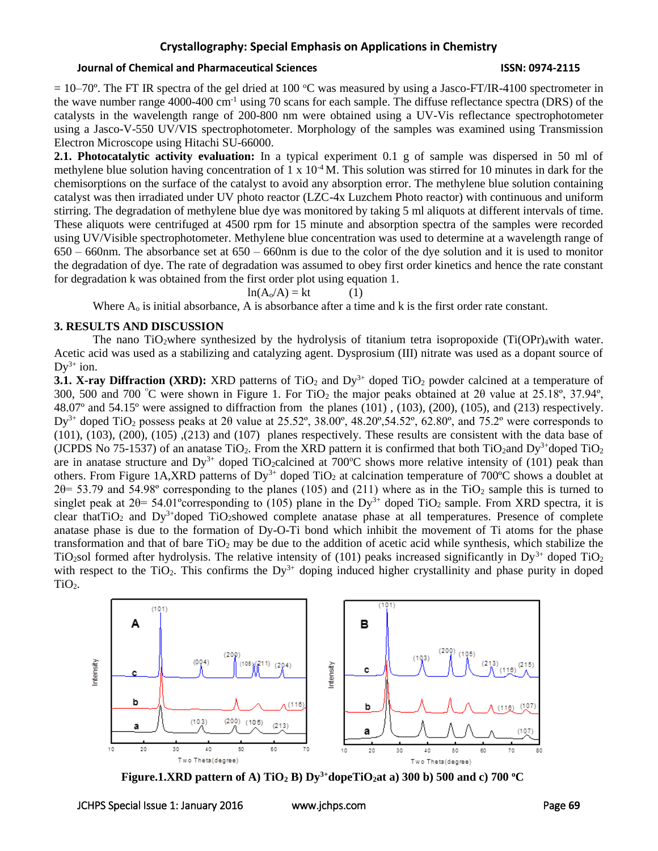### **Journal of Chemical and Pharmaceutical Sciences ISSN: 0974-2115**

 $= 10-70$ °. The FT IR spectra of the gel dried at 100 °C was measured by using a Jasco-FT/IR-4100 spectrometer in the wave number range 4000-400 cm-1 using 70 scans for each sample. The diffuse reflectance spectra (DRS) of the catalysts in the wavelength range of 200-800 nm were obtained using a UV-Vis reflectance spectrophotometer using a Jasco-V-550 UV/VIS spectrophotometer. Morphology of the samples was examined using Transmission Electron Microscope using Hitachi SU-66000.

**2.1. Photocatalytic activity evaluation:** In a typical experiment 0.1 g of sample was dispersed in 50 ml of methylene blue solution having concentration of 1 x  $10^{-4}$ M. This solution was stirred for 10 minutes in dark for the chemisorptions on the surface of the catalyst to avoid any absorption error. The methylene blue solution containing catalyst was then irradiated under UV photo reactor (LZC-4x Luzchem Photo reactor) with continuous and uniform stirring. The degradation of methylene blue dye was monitored by taking 5 ml aliquots at different intervals of time. These aliquots were centrifuged at 4500 rpm for 15 minute and absorption spectra of the samples were recorded using UV/Visible spectrophotometer. Methylene blue concentration was used to determine at a wavelength range of 650 – 660nm. The absorbance set at 650 – 660nm is due to the color of the dye solution and it is used to monitor the degradation of dye. The rate of degradation was assumed to obey first order kinetics and hence the rate constant for degradation k was obtained from the first order plot using equation 1.

$$
ln(A_0/A) = kt \tag{1}
$$

Where  $A_0$  is initial absorbance, A is absorbance after a time and k is the first order rate constant.

### **3. RESULTS AND DISCUSSION**

The nano TiO<sub>2</sub>where synthesized by the hydrolysis of titanium tetra isopropoxide (Ti(OPr)<sub>4</sub>with water. Acetic acid was used as a stabilizing and catalyzing agent. Dysprosium (III) nitrate was used as a dopant source of  $Dy^{3+}$  ion.

**3.1. <b>X-ray Diffraction (XRD):** XRD patterns of TiO<sub>2</sub> and  $Dy^{3+}$  doped TiO<sub>2</sub> powder calcined at a temperature of 300, 500 and 700 °C were shown in Figure 1. For TiO<sub>2</sub> the major peaks obtained at 2 $\theta$  value at 25.18°, 37.94°, 48.07º and 54.15º were assigned to diffraction from the planes (101) , (103), (200), (105), and (213) respectively.  $Dy^{3+}$  doped TiO<sub>2</sub> possess peaks at 2 $\theta$  value at 25.52°, 38.00°, 48.20°, 54.52°, 62.80°, and 75.2° were corresponds to (101), (103), (200), (105) ,(213) and (107) planes respectively. These results are consistent with the data base of (JCPDS No 75-1537) of an anatase TiO<sub>2</sub>. From the XRD pattern it is confirmed that both TiO<sub>2</sub>and Dy<sup>3+</sup>doped TiO<sub>2</sub> are in anatase structure and  $Dy^{3+}$  doped TiO<sub>2</sub>calcined at 700<sup>o</sup>C shows more relative intensity of (101) peak than others. From Figure 1A,XRD patterns of  $Dy^{3+}$  doped TiO<sub>2</sub> at calcination temperature of 700°C shows a doublet at  $2\theta$ = 53.79 and 54.98° corresponding to the planes (105) and (211) where as in the TiO<sub>2</sub> sample this is turned to singlet peak at 2 $\theta$ = 54.01° corresponding to (105) plane in the Dy<sup>3+</sup> doped TiO<sub>2</sub> sample. From XRD spectra, it is clear that  $TiO_2$  and  $Dy^3$ <sup>+</sup>doped  $TiO_2$ showed complete anatase phase at all temperatures. Presence of complete anatase phase is due to the formation of Dy-O-Ti bond which inhibit the movement of Ti atoms for the phase transformation and that of bare  $TiO<sub>2</sub>$  may be due to the addition of acetic acid while synthesis, which stabilize the TiO<sub>2</sub>sol formed after hydrolysis. The relative intensity of (101) peaks increased significantly in  $Dy^{3+}$  doped TiO<sub>2</sub> with respect to the TiO<sub>2</sub>. This confirms the Dy<sup>3+</sup> doping induced higher crystallinity and phase purity in doped TiO<sub>2</sub>.



**Figure.1.XRD pattern of A) TiO<sub>2</sub> B) Dy<sup>3+</sup>dopeTiO<sub>2</sub>at a) 300 b) 500 and c) 700 <sup>o</sup>C**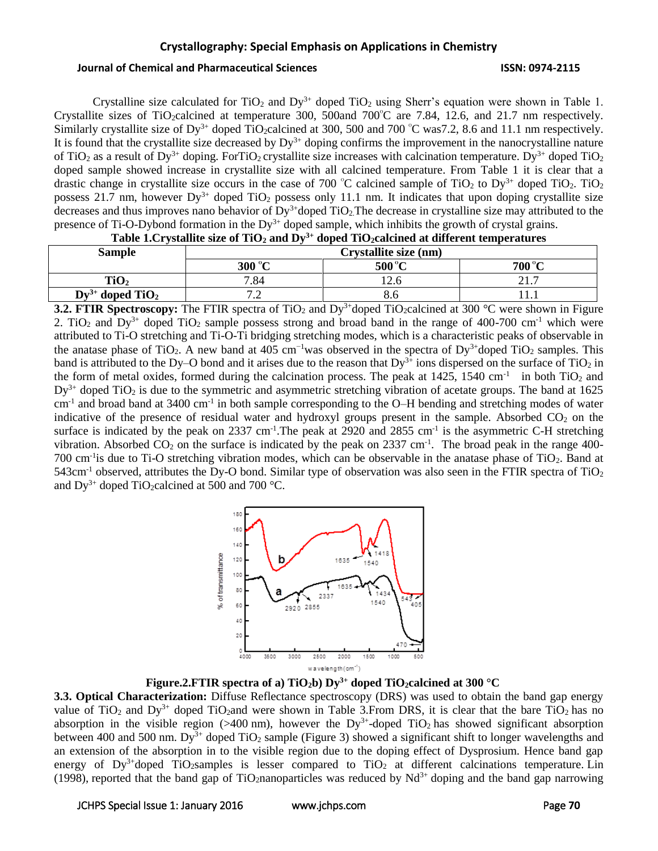### **Journal of Chemical and Pharmaceutical Sciences ISSN: 0974-2115**

Crystalline size calculated for  $TiO<sub>2</sub>$  and  $Dy<sup>3+</sup>$  doped  $TiO<sub>2</sub>$  using Sherr's equation were shown in Table 1. Crystallite sizes of TiO<sub>2</sub>calcined at temperature 300, 500and 700 $^{\circ}$ C are 7.84, 12.6, and 21.7 nm respectively. Similarly crystallite size of Dy<sup>3+</sup> doped TiO<sub>2</sub>calcined at 300, 500 and 700  $\degree$ C was7.2, 8.6 and 11.1 nm respectively. It is found that the crystallite size decreased by  $Dy^{3+}$  doping confirms the improvement in the nanocrystalline nature of TiO<sub>2</sub> as a result of Dy<sup>3+</sup> doping. ForTiO<sub>2</sub> crystallite size increases with calcination temperature. Dy<sup>3+</sup> doped TiO<sub>2</sub> doped sample showed increase in crystallite size with all calcined temperature. From Table 1 it is clear that a drastic change in crystallite size occurs in the case of 700  $^{\circ}$ C calcined sample of TiO<sub>2</sub> to Dy<sup>3+</sup> doped TiO<sub>2</sub>. TiO<sub>2</sub> possess 21.7 nm, however  $Dy^{3+}$  doped TiO<sub>2</sub> possess only 11.1 nm. It indicates that upon doping crystallite size decreases and thus improves nano behavior of  $Dy^{3+}$ doped TiO<sub>2</sub>. The decrease in crystalline size may attributed to the presence of Ti-O-Dybond formation in the  $Dy^{3+}$  doped sample, which inhibits the growth of crystal grains.

| Lable 1.01 vstallite size of 1102 and DV<br>appea Trozcalchied at uniterent temperatures |                          |        |        |  |  |  |
|------------------------------------------------------------------------------------------|--------------------------|--------|--------|--|--|--|
| Sample                                                                                   | Crystallite size (nm)    |        |        |  |  |  |
|                                                                                          | 300 °C                   | 500 °C | 700 °C |  |  |  |
| TiO <sub>2</sub>                                                                         | 7.84                     |        |        |  |  |  |
| $Dy^{3+}$ doped TiO <sub>2</sub>                                                         | $\overline{\phantom{0}}$ | გ.ნ    |        |  |  |  |

**Table 1.Crystallite size of TiO<sup>2</sup> and Dy3+ doped TiO2calcined at different temperatures**

**3.2. FTIR Spectroscopy:** The FTIR spectra of TiO<sub>2</sub> and Dy<sup>3+</sup>doped TiO<sub>2</sub>calcined at 300 °C were shown in Figure 2. TiO<sub>2</sub> and Dy<sup>3+</sup> doped TiO<sub>2</sub> sample possess strong and broad band in the range of 400-700 cm<sup>-1</sup> which were attributed to Ti-O stretching and Ti-O-Ti bridging stretching modes, which is a characteristic peaks of observable in the anatase phase of TiO<sub>2</sub>. A new band at 405 cm<sup>-1</sup>was observed in the spectra of Dy<sup>3+</sup>doped TiO<sub>2</sub> samples. This band is attributed to the Dy–O bond and it arises due to the reason that  $Dy^{3+}$  ions dispersed on the surface of TiO<sub>2</sub> in the form of metal oxides, formed during the calcination process. The peak at  $1425$ ,  $1540 \text{ cm}^{-1}$  in both TiO<sub>2</sub> and  $Dy^{3+}$  doped TiO<sub>2</sub> is due to the symmetric and asymmetric stretching vibration of acetate groups. The band at 1625  $cm<sup>-1</sup>$  and broad band at 3400  $cm<sup>-1</sup>$  in both sample corresponding to the O–H bending and stretching modes of water indicative of the presence of residual water and hydroxyl groups present in the sample. Absorbed  $CO<sub>2</sub>$  on the surface is indicated by the peak on  $2337 \text{ cm}^{-1}$ . The peak at  $2920$  and  $2855 \text{ cm}^{-1}$  is the asymmetric C-H stretching vibration. Absorbed  $CO_2$  on the surface is indicated by the peak on 2337 cm<sup>-1</sup>. The broad peak in the range 400-700 cm<sup>-1</sup>is due to Ti-O stretching vibration modes, which can be observable in the anatase phase of TiO<sub>2</sub>. Band at 543cm<sup>-1</sup> observed, attributes the Dy-O bond. Similar type of observation was also seen in the FTIR spectra of TiO<sub>2</sub> and  $Dy^{3+}$  doped TiO<sub>2</sub>calcined at 500 and 700 °C.



**Figure.2.FTIR spectra of a) TiO<sub>2</sub>b) Dy<sup>3+</sup> doped TiO<sub>2</sub>calcined at 300 °C** 

**3.3. Optical Characterization:** Diffuse Reflectance spectroscopy (DRS) was used to obtain the band gap energy value of TiO<sub>2</sub> and Dy<sup>3+</sup> doped TiO<sub>2</sub>and were shown in Table 3.From DRS, it is clear that the bare TiO<sub>2</sub> has no absorption in the visible region  $($ >400 nm), however the Dy<sup>3+</sup>-doped TiO<sub>2</sub> has showed significant absorption between 400 and 500 nm. Dy<sup>3+</sup> doped TiO<sub>2</sub> sample (Figure 3) showed a significant shift to longer wavelengths and an extension of the absorption in to the visible region due to the doping effect of Dysprosium. Hence band gap energy of  $Dy^{3+}$ doped TiO<sub>2</sub>samples is lesser compared to TiO<sub>2</sub> at different calcinations temperature. Lin (1998), reported that the band gap of TiO<sub>2</sub>nanoparticles was reduced by Nd<sup>3+</sup> doping and the band gap narrowing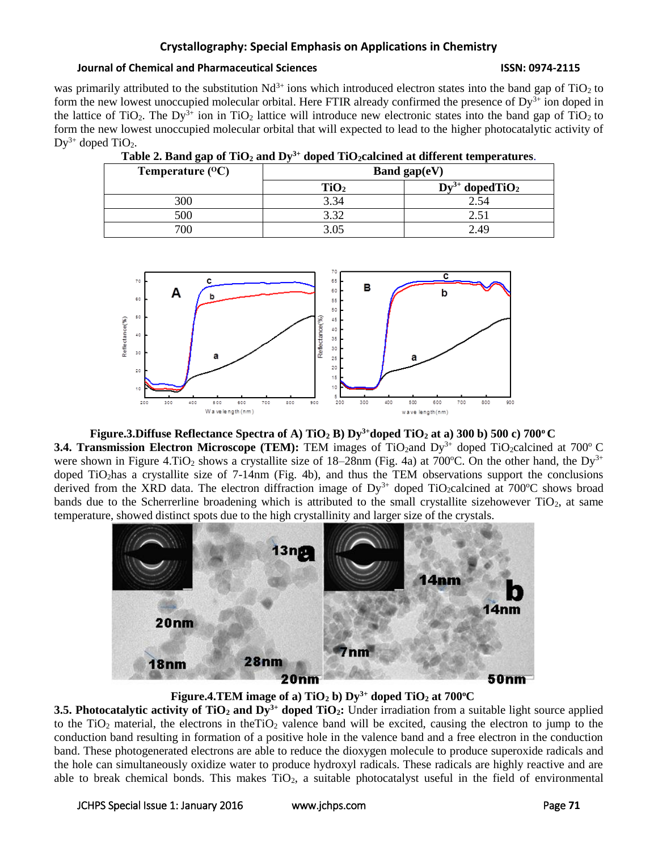### **Journal of Chemical and Pharmaceutical Sciences ISSN: 0974-2115**

was primarily attributed to the substitution  $Nd^{3+}$  ions which introduced electron states into the band gap of TiO<sub>2</sub> to form the new lowest unoccupied molecular orbital. Here FTIR already confirmed the presence of Dy<sup>3+</sup> ion doped in the lattice of TiO<sub>2</sub>. The Dy<sup>3+</sup> ion in TiO<sub>2</sub> lattice will introduce new electronic states into the band gap of TiO<sub>2</sub> to form the new lowest unoccupied molecular orbital that will expected to lead to the higher photocatalytic activity of  $Dy^{3+}$  doped TiO<sub>2</sub>.

**Table 2. Band gap of TiO<sup>2</sup> and Dy3+ doped TiO2calcined at different temperatures**.

| Temperature $({}^{0}C)$ | . .<br>Band gap $(eV)$ |                                  |  |  |  |
|-------------------------|------------------------|----------------------------------|--|--|--|
|                         | TiO <sub>2</sub>       | $Dy^{3+}$ doped TiO <sub>2</sub> |  |  |  |
| 300                     | 3.34                   | 2.54                             |  |  |  |
| 500                     | 2.20                   |                                  |  |  |  |
| 700                     | 3.05                   | 2.49                             |  |  |  |



## **Figure.3.Diffuse Reflectance Spectra of A) TiO<sup>2</sup> B) Dy3+doped TiO<sup>2</sup> at a) 300 b) 500 c) 700<sup>o</sup> C 3.4. Transmission Electron Microscope (TEM):** TEM images of TiO<sub>2</sub>and Dy<sup>3+</sup> doped TiO<sub>2</sub>calcined at 700<sup>o</sup> C were shown in Figure 4.TiO<sub>2</sub> shows a crystallite size of 18–28nm (Fig. 4a) at 700°C. On the other hand, the Dy<sup>3+</sup> doped TiO2has a crystallite size of 7-14nm (Fig. 4b), and thus the TEM observations support the conclusions derived from the XRD data. The electron diffraction image of  $Dy^{3+}$  doped TiO<sub>2</sub>calcined at 700°C shows broad bands due to the Scherrerline broadening which is attributed to the small crystallite sizehowever  $TiO<sub>2</sub>$ , at same temperature, showed distinct spots due to the high crystallinity and larger size of the crystals.



**Figure.4.TEM image of a) TiO<sub>2</sub> b) Dy<sup>3+</sup> doped TiO<sub>2</sub> at 700<sup>o</sup>C** 

**3.5. Photocatalytic activity of TiO<sup>2</sup> and Dy3+ doped TiO2:** Under irradiation from a suitable light source applied to the TiO<sub>2</sub> material, the electrons in theTiO<sub>2</sub> valence band will be excited, causing the electron to jump to the conduction band resulting in formation of a positive hole in the valence band and a free electron in the conduction band. These photogenerated electrons are able to reduce the dioxygen molecule to produce superoxide radicals and the hole can simultaneously oxidize water to produce hydroxyl radicals. These radicals are highly reactive and are able to break chemical bonds. This makes  $TiO<sub>2</sub>$ , a suitable photocatalyst useful in the field of environmental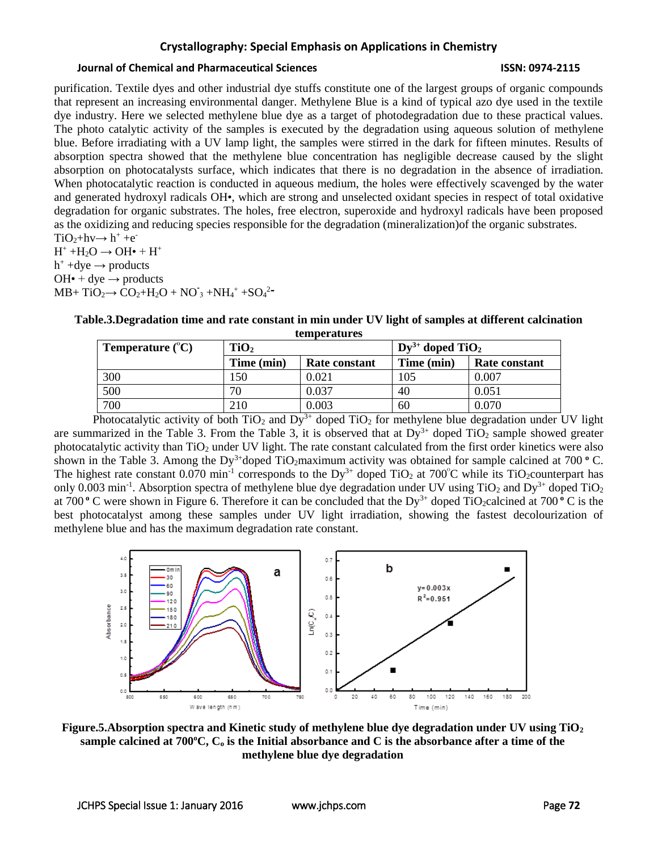### **Journal of Chemical and Pharmaceutical Sciences ISSN: 0974-2115**

purification. Textile dyes and other industrial dye stuffs constitute one of the largest groups of organic compounds that represent an increasing environmental danger. Methylene Blue is a kind of typical azo dye used in the textile dye industry. Here we selected methylene blue dye as a target of photodegradation due to these practical values. The photo catalytic activity of the samples is executed by the degradation using aqueous solution of methylene blue. Before irradiating with a UV lamp light, the samples were stirred in the dark for fifteen minutes. Results of absorption spectra showed that the methylene blue concentration has negligible decrease caused by the slight absorption on photocatalysts surface, which indicates that there is no degradation in the absence of irradiation. When photocatalytic reaction is conducted in aqueous medium, the holes were effectively scavenged by the water and generated hydroxyl radicals OH•, which are strong and unselected oxidant species in respect of total oxidative degradation for organic substrates. The holes, free electron, superoxide and hydroxyl radicals have been proposed as the oxidizing and reducing species responsible for the degradation (mineralization)of the organic substrates.  $TiO_2 + hv \rightarrow h^+ + e^-$ 

 $H^+ + H_2O \rightarrow OH\bullet + H^+$  $h^+$  +dye  $\rightarrow$  products  $OH\bullet + dye \rightarrow products$  $MB+ TiO_2 \rightarrow CO_2 + H_2O + NO_3 + NH_4^+ + SO_4^2$ 

| Table.3.Degradation time and rate constant in min under UV light of samples at different calcination |
|------------------------------------------------------------------------------------------------------|
| <b>temperatures</b>                                                                                  |

| <b>Temperature</b> $({}^{\circ}C)$ | TiO <sub>2</sub> |               | $Dy^{3+}$ doped TiO <sub>2</sub> |               |  |  |  |
|------------------------------------|------------------|---------------|----------------------------------|---------------|--|--|--|
|                                    | Time (min)       | Rate constant | Time (min)                       | Rate constant |  |  |  |
| 300                                | 150              | 0.021         | 105                              | 0.007         |  |  |  |
| 500                                | 70               | 0.037         | 40                               | 0.051         |  |  |  |
| 700                                | 210              | 0.003         | 60                               | 0.070         |  |  |  |
|                                    |                  |               |                                  |               |  |  |  |

Photocatalytic activity of both TiO<sub>2</sub> and  $\overline{Dy^{3+}}$  doped TiO<sub>2</sub> for methylene blue degradation under UV light are summarized in the Table 3. From the Table 3, it is observed that at  $Dy^{3+}$  doped  $TiO<sub>2</sub>$  sample showed greater photocatalytic activity than  $TiO<sub>2</sub>$  under UV light. The rate constant calculated from the first order kinetics were also shown in the Table 3. Among the Dy<sup>3+</sup>doped TiO<sub>2</sub>maximum activity was obtained for sample calcined at 700 °C. The highest rate constant 0.070 min<sup>-1</sup> corresponds to the Dy<sup>3+</sup> doped TiO<sub>2</sub> at 700<sup>°</sup>C while its TiO<sub>2</sub>counterpart has only 0.003 min<sup>-1</sup>. Absorption spectra of methylene blue dye degradation under UV using TiO<sub>2</sub> and Dy<sup>3+</sup> doped TiO<sub>2</sub> at 700 **<sup>o</sup>** C were shown in Figure 6. Therefore it can be concluded that the Dy3+ doped TiO2calcined at 700 **<sup>o</sup>** C is the best photocatalyst among these samples under UV light irradiation, showing the fastest decolourization of methylene blue and has the maximum degradation rate constant.



**Figure.5.Absorption spectra and Kinetic study of methylene blue dye degradation under UV using TiO<sup>2</sup> sample calcined at 700<sup>o</sup>C, C<sup>o</sup> is the Initial absorbance and C is the absorbance after a time of the methylene blue dye degradation**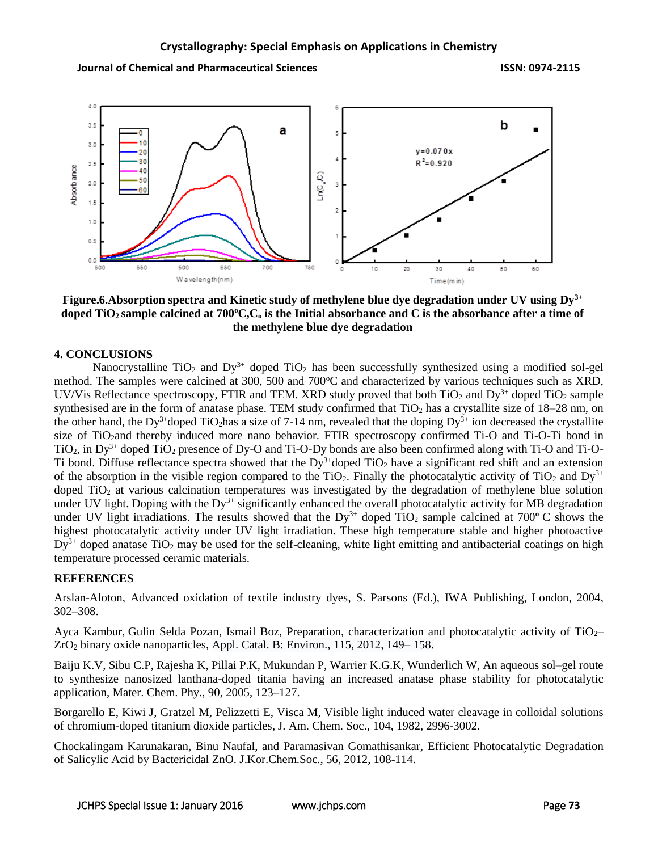**Journal of Chemical and Pharmaceutical Sciences ISSN: 0974-2115**



**Figure.6.Absorption spectra and Kinetic study of methylene blue dye degradation under UV using Dy3+ doped TiO2 sample calcined at 700<sup>o</sup>C,C<sup>o</sup> is the Initial absorbance and C is the absorbance after a time of the methylene blue dye degradation**

### **4. CONCLUSIONS**

Nanocrystalline  $TiO<sub>2</sub>$  and  $Dy<sup>3+</sup>$  doped  $TiO<sub>2</sub>$  has been successfully synthesized using a modified sol-gel method. The samples were calcined at 300, 500 and 700°C and characterized by various techniques such as XRD, UV/Vis Reflectance spectroscopy, FTIR and TEM. XRD study proved that both  $TiO<sub>2</sub>$  and Dy<sup>3+</sup> doped TiO<sub>2</sub> sample synthesised are in the form of anatase phase. TEM study confirmed that  $TiO<sub>2</sub>$  has a crystallite size of  $18-28$  nm, on the other hand, the Dy<sup>3+</sup>doped TiO<sub>2</sub>has a size of 7-14 nm, revealed that the doping Dy<sup>3+</sup> ion decreased the crystallite size of TiO2and thereby induced more nano behavior. FTIR spectroscopy confirmed Ti-O and Ti-O-Ti bond in  $TiO<sub>2</sub>$ , in Dy<sup>3+</sup> doped TiO<sub>2</sub> presence of Dy-O and Ti-O-Dy bonds are also been confirmed along with Ti-O and Ti-O-Ti bond. Diffuse reflectance spectra showed that the  $Dy^{3+}$ doped TiO<sub>2</sub> have a significant red shift and an extension of the absorption in the visible region compared to the TiO<sub>2</sub>. Finally the photocatalytic activity of TiO<sub>2</sub> and Dy<sup>3+</sup> doped TiO<sup>2</sup> at various calcination temperatures was investigated by the degradation of methylene blue solution under UV light. Doping with the  $Dy^{3+}$  significantly enhanced the overall photocatalytic activity for MB degradation under UV light irradiations. The results showed that the  $Dy^{3+}$  doped TiO<sub>2</sub> sample calcined at 700<sup>o</sup> C shows the highest photocatalytic activity under UV light irradiation. These high temperature stable and higher photoactive  $Dy^{3+}$  doped anatase TiO<sub>2</sub> may be used for the self-cleaning, white light emitting and antibacterial coatings on high temperature processed ceramic materials.

### **REFERENCES**

Arslan-Aloton, Advanced oxidation of textile industry dyes, S. Parsons (Ed.), IWA Publishing, London, 2004, 302–308.

Ayca [Kambur,](http://www.sciencedirect.com/science/article/pii/S0926337311005820) Gulin Selda [Pozan, Ismail Boz, Preparation, characterization and photocatalytic activity of TiO](http://www.sciencedirect.com/science/article/pii/S0926337311005820)2– ZrO<sup>2</sup> [binary oxide nanoparticles,](http://www.sciencedirect.com/science/article/pii/S0926337311005820) Appl. Catal. B: [Environ.,](http://www.sciencedirect.com/science/journal/09263373) [115,](http://www.sciencedirect.com/science/journal/09263373/115/supp/C) 2012, 149– 158.

Baiju K.V, Sibu C.P, Rajesha K, Pillai P.K, Mukundan P, Warrier K.G.K, Wunderlich W, [An aqueous sol–gel route](http://www.sciencedirect.com/science/article/pii/S025405840400536X)  [to synthesize nanosized lanthana-doped titania having an increased anatase phase stability for photocatalytic](http://www.sciencedirect.com/science/article/pii/S025405840400536X)  [application,](http://www.sciencedirect.com/science/article/pii/S025405840400536X) Mater. Chem. Phy., 90, 2005, 123–127.

Borgarello E, Kiwi J, Gratzel M, Pelizzetti E, Visca M, [Visible light induced water cleavage in colloidal solutions](http://pubs.acs.org/doi/abs/10.1021/ja00375a010)  [of chromium-doped titanium dioxide particles,](http://pubs.acs.org/doi/abs/10.1021/ja00375a010) J. Am. Chem. Soc., 104, 1982, 2996-3002.

Chockalingam Karunakaran, Binu Naufal, and Paramasivan Gomathisankar, Efficient [Photocatalytic](http://kpubs.org/article/articleMain.kpubs?articleANo=JCGMDC_2012_v56n1_108) Degradation of Salicylic Acid by [Bactericidal](http://kpubs.org/article/articleMain.kpubs?articleANo=JCGMDC_2012_v56n1_108) ZnO. J.Kor.Chem.Soc., 56, 2012, 108-114.